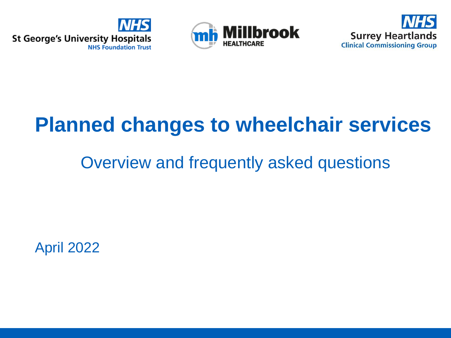





# **Planned changes to wheelchair services**

#### Overview and frequently asked questions

April 2022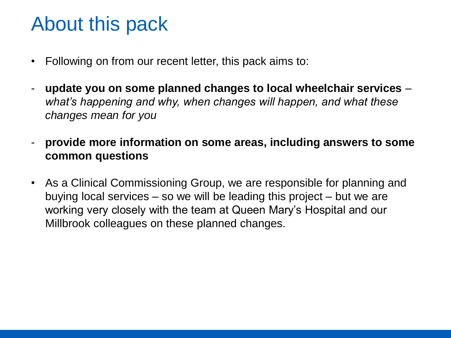## About this pack

- Following on from our recent letter, this pack aims to:
- **update you on some planned changes to local wheelchair services** *– what's happening and why, when changes will happen, and what these changes mean for you*
- **provide more information on some areas, including answers to some common questions**
- As a Clinical Commissioning Group, we are responsible for planning and buying local services – so we will be leading this project – but we are working very closely with the team at Queen Mary's Hospital and our Millbrook colleagues on these planned changes.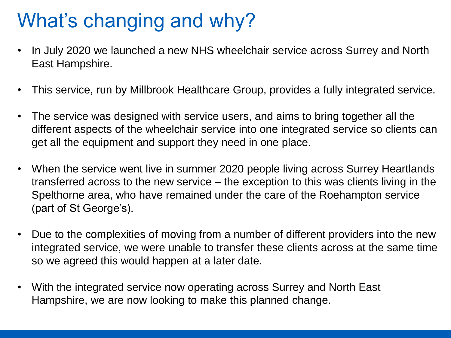# What's changing and why?

- In July 2020 we launched a new NHS wheelchair service across Surrey and North East Hampshire.
- This service, run by Millbrook Healthcare Group, provides a fully integrated service.
- The service was designed with service users, and aims to bring together all the different aspects of the wheelchair service into one integrated service so clients can get all the equipment and support they need in one place.
- When the service went live in summer 2020 people living across Surrey Heartlands transferred across to the new service – the exception to this was clients living in the Spelthorne area, who have remained under the care of the Roehampton service (part of St George's).
- Due to the complexities of moving from a number of different providers into the new integrated service, we were unable to transfer these clients across at the same time so we agreed this would happen at a later date.
- With the integrated service now operating across Surrey and North East Hampshire, we are now looking to make this planned change.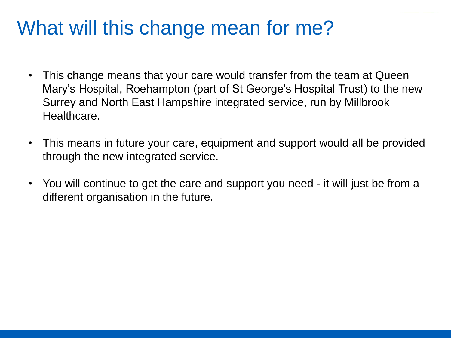# What will this change mean for me?

- This change means that your care would transfer from the team at Queen Mary's Hospital, Roehampton (part of St George's Hospital Trust) to the new Surrey and North East Hampshire integrated service, run by Millbrook Healthcare.
- This means in future your care, equipment and support would all be provided through the new integrated service.
- You will continue to get the care and support you need it will just be from a different organisation in the future.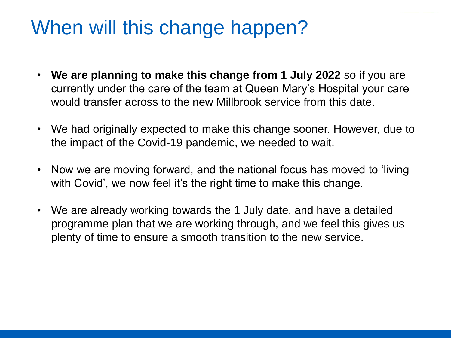# When will this change happen?

- **We are planning to make this change from 1 July 2022** so if you are currently under the care of the team at Queen Mary's Hospital your care would transfer across to the new Millbrook service from this date.
- We had originally expected to make this change sooner. However, due to the impact of the Covid-19 pandemic, we needed to wait.
- Now we are moving forward, and the national focus has moved to 'living with Covid', we now feel it's the right time to make this change.
- We are already working towards the 1 July date, and have a detailed programme plan that we are working through, and we feel this gives us plenty of time to ensure a smooth transition to the new service.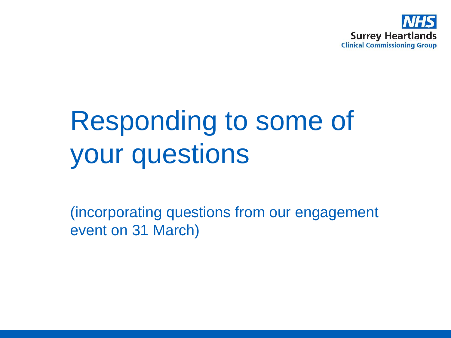

# Responding to some of your questions

(incorporating questions from our engagement event on 31 March)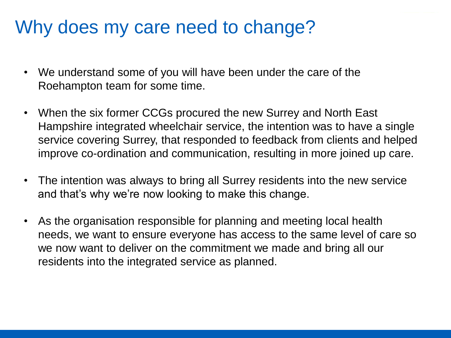#### Why does my care need to change?

- We understand some of you will have been under the care of the Roehampton team for some time.
- When the six former CCGs procured the new Surrey and North East Hampshire integrated wheelchair service, the intention was to have a single service covering Surrey, that responded to feedback from clients and helped improve co-ordination and communication, resulting in more joined up care.
- The intention was always to bring all Surrey residents into the new service and that's why we're now looking to make this change.
- As the organisation responsible for planning and meeting local health needs, we want to ensure everyone has access to the same level of care so we now want to deliver on the commitment we made and bring all our residents into the integrated service as planned.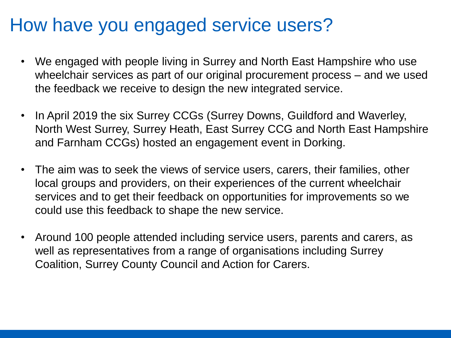#### How have you engaged service users?

- We engaged with people living in Surrey and North East Hampshire who use wheelchair services as part of our original procurement process – and we used the feedback we receive to design the new integrated service.
- In April 2019 the six Surrey CCGs (Surrey Downs, Guildford and Waverley, North West Surrey, Surrey Heath, East Surrey CCG and North East Hampshire and Farnham CCGs) hosted an engagement event in Dorking.
- The aim was to seek the views of service users, carers, their families, other local groups and providers, on their experiences of the current wheelchair services and to get their feedback on opportunities for improvements so we could use this feedback to shape the new service.
- Around 100 people attended including service users, parents and carers, as well as representatives from a range of organisations including Surrey Coalition, Surrey County Council and Action for Carers.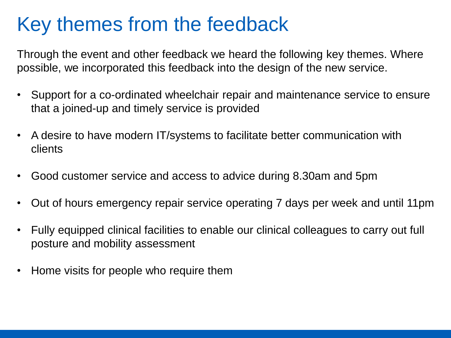# Key themes from the feedback

Through the event and other feedback we heard the following key themes. Where possible, we incorporated this feedback into the design of the new service.

- Support for a co-ordinated wheelchair repair and maintenance service to ensure that a joined-up and timely service is provided
- A desire to have modern IT/systems to facilitate better communication with clients
- Good customer service and access to advice during 8.30am and 5pm
- Out of hours emergency repair service operating 7 days per week and until 11pm
- Fully equipped clinical facilities to enable our clinical colleagues to carry out full posture and mobility assessment
- Home visits for people who require them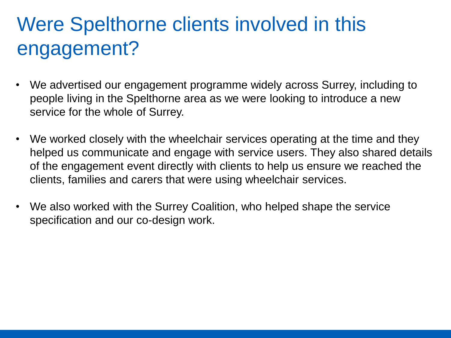# Were Spelthorne clients involved in this engagement?

- We advertised our engagement programme widely across Surrey, including to people living in the Spelthorne area as we were looking to introduce a new service for the whole of Surrey.
- We worked closely with the wheelchair services operating at the time and they helped us communicate and engage with service users. They also shared details of the engagement event directly with clients to help us ensure we reached the clients, families and carers that were using wheelchair services.
- We also worked with the Surrey Coalition, who helped shape the service specification and our co-design work.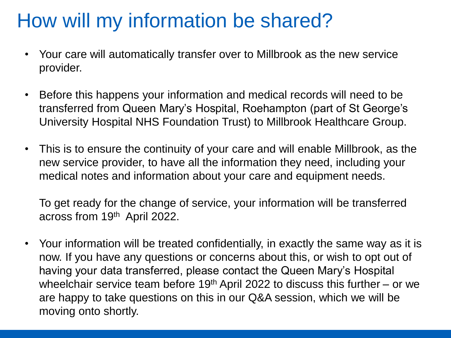# How will my information be shared?

- Your care will automatically transfer over to Millbrook as the new service provider.
- Before this happens your information and medical records will need to be transferred from Queen Mary's Hospital, Roehampton (part of St George's University Hospital NHS Foundation Trust) to Millbrook Healthcare Group.
- This is to ensure the continuity of your care and will enable Millbrook, as the new service provider, to have all the information they need, including your medical notes and information about your care and equipment needs.

To get ready for the change of service, your information will be transferred across from 19th April 2022.

• Your information will be treated confidentially, in exactly the same way as it is now. If you have any questions or concerns about this, or wish to opt out of having your data transferred, please contact the Queen Mary's Hospital wheelchair service team before  $19<sup>th</sup>$  April 2022 to discuss this further – or we are happy to take questions on this in our Q&A session, which we will be moving onto shortly.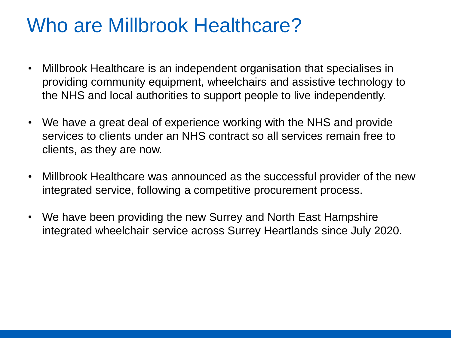# Who are Millbrook Healthcare?

- Millbrook Healthcare is an independent organisation that specialises in providing community equipment, wheelchairs and assistive technology to the NHS and local authorities to support people to live independently.
- We have a great deal of experience working with the NHS and provide services to clients under an NHS contract so all services remain free to clients, as they are now.
- Millbrook Healthcare was announced as the successful provider of the new integrated service, following a competitive procurement process.
- We have been providing the new Surrey and North East Hampshire integrated wheelchair service across Surrey Heartlands since July 2020.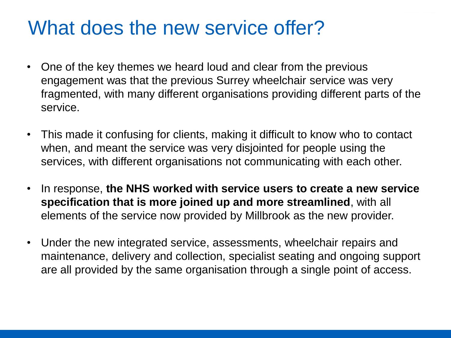### What does the new service offer?

- One of the key themes we heard loud and clear from the previous engagement was that the previous Surrey wheelchair service was very fragmented, with many different organisations providing different parts of the service.
- This made it confusing for clients, making it difficult to know who to contact when, and meant the service was very disjointed for people using the services, with different organisations not communicating with each other.
- In response, **the NHS worked with service users to create a new service specification that is more joined up and more streamlined**, with all elements of the service now provided by Millbrook as the new provider.
- Under the new integrated service, assessments, wheelchair repairs and maintenance, delivery and collection, specialist seating and ongoing support are all provided by the same organisation through a single point of access.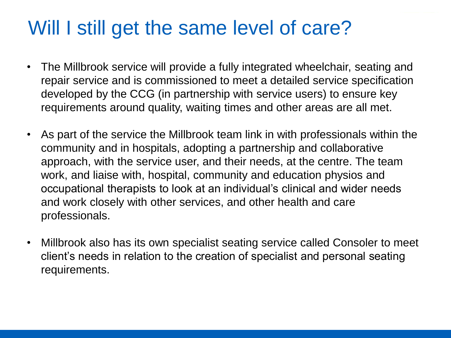# Will I still get the same level of care?

- The Millbrook service will provide a fully integrated wheelchair, seating and repair service and is commissioned to meet a detailed service specification developed by the CCG (in partnership with service users) to ensure key requirements around quality, waiting times and other areas are all met.
- As part of the service the Millbrook team link in with professionals within the community and in hospitals, adopting a partnership and collaborative approach, with the service user, and their needs, at the centre. The team work, and liaise with, hospital, community and education physios and occupational therapists to look at an individual's clinical and wider needs and work closely with other services, and other health and care professionals.
- Millbrook also has its own specialist seating service called Consoler to meet client's needs in relation to the creation of specialist and personal seating requirements.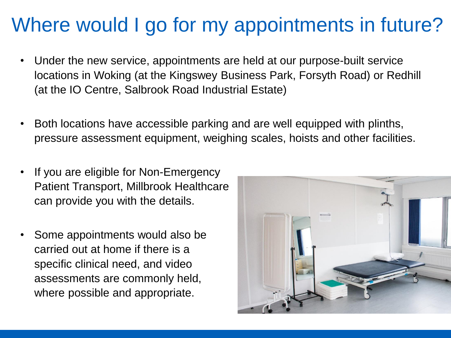# Where would I go for my appointments in future?

- Under the new service, appointments are held at our purpose-built service locations in Woking (at the Kingswey Business Park, Forsyth Road) or Redhill (at the IO Centre, Salbrook Road Industrial Estate)
- Both locations have accessible parking and are well equipped with plinths, pressure assessment equipment, weighing scales, hoists and other facilities.
- If you are eligible for Non-Emergency Patient Transport, Millbrook Healthcare can provide you with the details.
- Some appointments would also be carried out at home if there is a specific clinical need, and video assessments are commonly held, where possible and appropriate.

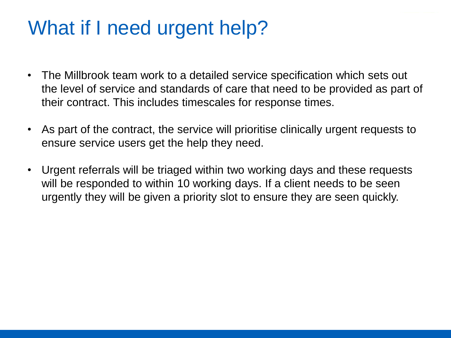# What if I need urgent help?

- The Millbrook team work to a detailed service specification which sets out the level of service and standards of care that need to be provided as part of their contract. This includes timescales for response times.
- As part of the contract, the service will prioritise clinically urgent requests to ensure service users get the help they need.
- Urgent referrals will be triaged within two working days and these requests will be responded to within 10 working days. If a client needs to be seen urgently they will be given a priority slot to ensure they are seen quickly.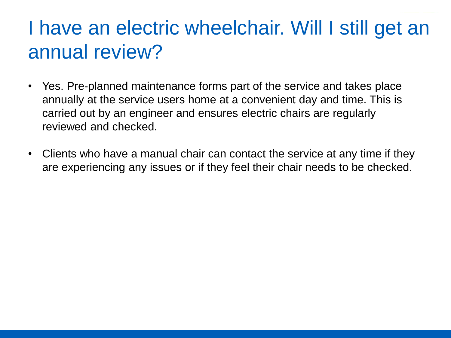# I have an electric wheelchair. Will I still get an annual review?

- Yes. Pre-planned maintenance forms part of the service and takes place annually at the service users home at a convenient day and time. This is carried out by an engineer and ensures electric chairs are regularly reviewed and checked.
- Clients who have a manual chair can contact the service at any time if they are experiencing any issues or if they feel their chair needs to be checked.